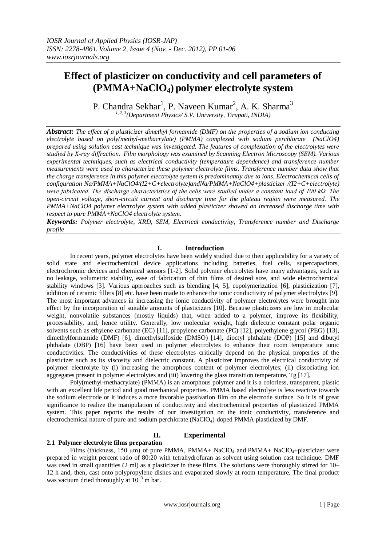# **Effect of plasticizer on conductivity and cell parameters of (PMMA+NaClO4) polymer electrolyte system**

P. Chandra Sekhar<sup>1</sup>, P. Naveen Kumar<sup>2</sup>, A. K. Sharma<sup>3</sup> *1, 2, 3(Department Physics/ S.V. University, Tirupati, INDIA)*

*Abstract: The effect of a plasticizer dimethyl formamide (DMF) on the properties of a sodium ion conducting electrolyte based on poly(methyl-methacrylate) (PMMA) complexed with sodium perchlorate (NaClO4) prepared using solution cast technique was investigated. The features of complexation of the electrolytes were studied by X-ray diffraction. Film morphology was examined by Scanning Electron Microscopy (SEM). Various experimental techniques, such as electrical conductivity (temperature dependence) and transference number measurements were used to characterize these polymer electrolyte films. Transference number data show that the charge transference in this polymer electrolyte system is predominantly due to ions. Electrochemical cells of configuration Na/PMMA+NaClO4/(I2+C+electrolyte)andNa/PMMA+NaClO4+plasticizer /(I2+C+electrolyte) were fabricated. The discharge characteristics of the cells were studied under a constant load of 100 kΩ. The open-circuit voltage, short-circuit current and discharge time for the plateau region were measured. The PMMA+NaClO4 polymer electrolyte system with added plasticizer showed an increased discharge time with respect to pure PMMA+NaClO4 electrolyte system.*

*Keywords: Polymer electrolyte, XRD, SEM, Electrical conductivity, Transference number and Discharge profile* 

### **I. Introduction**

In recent years, polymer electrolytes have been widely studied due to their applicability for a variety of solid state and electrochemical device applications including batteries, fuel cells, supercapacitors, electrochromic devices and chemical sensors [1-2]. Solid polymer electrolytes have many advantages, such as no leakage, volumetric stability, ease of fabrication of thin films of desired size, and wide electrochemical stability windows [3]. Various approaches such as blending [4, 5], copolymerization [6], plasticization [7], addition of ceramic fillers [8] etc. have been made to enhance the ionic conductivity of polymer electrolytes [9]. The most important advances in increasing the ionic conductivity of polymer electrolytes were brought into effect by the incorporation of suitable amounts of plasticizers [10]. Because plasticizers are low in molecular weight, nonvolatile substances (mostly liquids) that, when added to a polymer, improve its flexibility, processability, and, hence utility. Generally, low molecular weight, high dielectric constant polar organic solvents such as ethylene carbonate (EC) [11], propylene carbonate (PC) [12], polyethylene glycol (PEG) [13], dimethylformamide (DMF) [6], dimethylsulfoxide (DMSO) [14], dioctyl phthalate (DOP) [15] and dibutyl phthalate (DBP) [16] have been used in polymer electrolytes to enhance their room temperature ionic conductivities. The conductivities of these electrolytes critically depend on the physical properties of the plasticizer such as its viscosity and dielectric constant. A plasticizer improves the electrical conductivity of polymer electrolyte by (i) increasing the amorphous content of polymer electrolytes; (ii) dissociating ion aggregates present in polymer electrolytes and (iii) lowering the glass transition temperature, Tg [17].

Poly(methyl-methacrylate) (PMMA) is an amorphous polymer and it is a colorless, transparent, plastic with an excellent life period and good mechanical properties. PMMA based electrolyte is less reactive towards the sodium electrode or it induces a more favorable passivation film on the electrode surface. So it is of great significance to realize the manipulation of conductivity and electrochemical properties of plasticized PMMA system. This paper reports the results of our investigation on the ionic conductivity, transference and electrochemical nature of pure and sodium perchlorate (NaClO4)-doped PMMA plasticized by DMF.

# **II. Experimental**

#### **2.1 Polymer electrolyte films preparation**

Films (thickness, 150 µm) of pure PMMA, PMMA+ NaClO<sub>4</sub> and PMMA+ NaClO<sub>4</sub>+plasticizer were prepared in weight percent ratio of 80:20 with tetrahydrofuran as solvent using solution cast technique. DMF was used in small quantities (2 ml) as a plasticizer in these films. The solutions were thoroughly stirred for 10– 12 h and, then, cast onto polypropylene dishes and evaporated slowly at room temperature. The final product was vacuum dried thoroughly at  $10^{-3}$  m bar.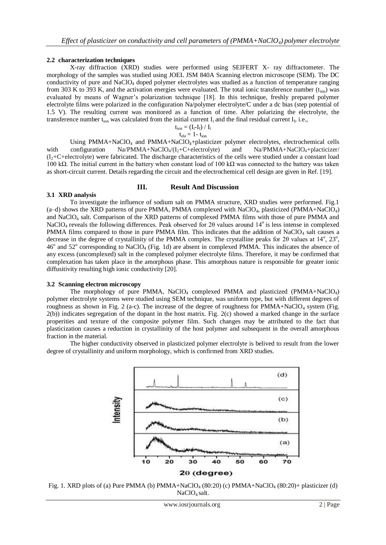# **2.2 characterization techniques**

X-ray diffraction (XRD) studies were performed using SEIFERT X- ray diffractometer. The morphology of the samples was studied using JOEL JSM 840A Scanning electron microscope (SEM). The DC conductivity of pure and NaClO<sup>4</sup> doped polymer electrolytes was studied as a function of temperature ranging from 303 K to 393 K, and the activation energies were evaluated. The total ionic transference number  $(t_{ion})$  was evaluated by means of Wagner's polarization technique [18]. In this technique, freshly prepared polymer electrolyte films were polarized in the configuration Na/polymer electrolyte/C under a dc bias (step potential of 1.5 V). The resulting current was monitored as a function of time. After polarizing the electrolyte, the transference number t<sub>ion</sub> was calculated from the initial current  $I_i$  and the final residual current  $I_f$ , i.e.,

$$
\begin{aligned} t_{ion} &= (I_i\text{-}I_f) \mathbin{/} I_i \\ t_{ele} &= 1\text{-} t_{ion} \end{aligned}
$$

Using PMMA+NaClO<sup>4</sup> and PMMA+NaClO4+plasticizer polymer electrolytes, electrochemical cells with configuration  $Na/PMMA+NaClO_4/(I_2+C+electrolyte)$  and  $Na/PMMA+NaClO_4+plateicizer/$  $(I_2+C+electrolyte)$  were fabricated. The discharge characteristics of the cells were studied under a constant load 100 kΩ. The initial current in the battery when constant load of 100 kΩ was connected to the battery was taken as short-circuit current. Details regarding the circuit and the electrochemical cell design are given in Ref. [19].

# **III. Result And Discussion**

### **3.1 XRD analysis**

To investigate the influence of sodium salt on PMMA structure, XRD studies were performed. Fig.1  $(a-d)$  shows the XRD patterns of pure PMMA, PMMA complexed with NaClO<sub>4</sub>, plasticized (PMMA+NaClO<sub>4</sub>) and NaClO<sup>4</sup> salt. Comparison of the XRD patterns of complexed PMMA films with those of pure PMMA and NaClO<sub>4</sub> reveals the following differences. Peak observed for 2θ values around 14<sup>o</sup> is less intense in complexed PMMA films compared to those in pure PMMA film. This indicates that the addition of NaClO<sub>4</sub> salt causes a decrease in the degree of crystallinity of the PMMA complex. The crystalline peaks for 20 values at  $14^{\circ}$ ,  $23^{\circ}$ , 46<sup>o</sup> and 52<sup>o</sup> corresponding to NaClO<sub>4</sub> (Fig. 1d) are absent in complexed PMMA. This indicates the absence of any excess (uncomplexed) salt in the complexed polymer electrolyte films. Therefore, it may be confirmed that complexation has taken place in the amorphous phase. This amorphous nature is responsible for greater ionic diffusitivity resulting high ionic conductivity [20].

#### **3.2 Scanning electron microscopy**

The morphology of pure PMMA, NaClO<sub>4</sub> complexed PMMA and plasticized (PMMA+NaClO<sub>4</sub>) polymer electrolyte systems were studied using SEM technique, was uniform type, but with different degrees of roughness as shown in Fig. 2 (a-c). The increase of the degree of roughness for  $PMMA+NaClO<sub>4</sub>$  system (Fig. 2(b)) indicates segregation of the dopant in the host matrix. Fig. 2(c) showed a marked change in the surface properities and texture of the composite polymer film. Such changes may be attributed to the fact that plasticization causes a reduction in crystallinity of the host polymer and subsequent in the overall amorphous fraction in the material.

The higher conductivity observed in plasticized polymer electrolyte is belived to result from the lower degree of crystallinity and uniform morphology, which is confirmed from XRD studies.



Fig. 1. XRD plots of (a) Pure PMMA (b) PMMA+NaClO<sub>4</sub> (80:20) (c) PMMA+NaClO<sub>4</sub> (80:20)+ plasticizer (d) NaClO<sub>4</sub> salt.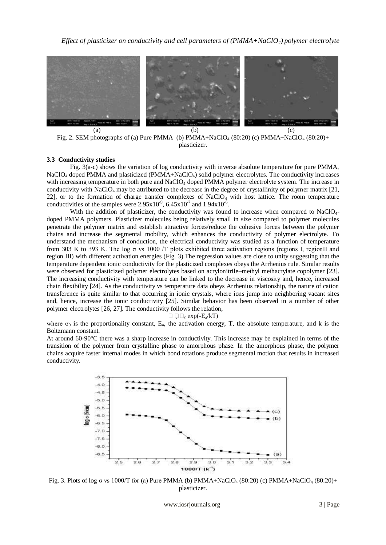

Fig. 2. SEM photographs of (a) Pure PMMA (b) PMMA+NaClO<sub>4</sub> (80:20) (c) PMMA+NaClO<sub>4</sub> (80:20)+ plasticizer.

### **3.3 Conductivity studies**

Fig. 3(a-c) shows the variation of log conductivity with inverse absolute temperature for pure PMMA, NaClO<sub>4</sub> doped PMMA and plasticized (PMMA+NaClO<sub>4</sub>) solid polymer electrolytes. The conductivity increases with increasing temperature in both pure and NaClO<sub>4</sub> doped PMMA polymer electrolyte system. The increase in conductivity with NaClO<sub>4</sub> may be attributed to the decrease in the degree of crystallinity of polymer matrix [21, 22], or to the formation of charge transfer complexes of NaClO<sub>4</sub> with host lattice. The room temperature conductivities of the samples were  $2.95 \times 10^{-9}$ ,  $6.45 \times 10^{-7}$  and  $1.94 \times 10^{-6}$ .

With the addition of plasticizer, the conductivity was found to increase when compared to NaClO<sub>4</sub>doped PMMA polymers. Plasticizer molecules being relatively small in size compared to polymer molecules penetrate the polymer matrix and establish attractive forces/reduce the cohesive forces between the polymer chains and increase the segmental mobility, which enhances the conductivity of polymer electrolyte. To understand the mechanism of conduction, the electrical conductivity was studied as a function of temperature from 303 K to 393 K. The log  $\sigma$  vs 1000 /T plots exhibited three activation regions (regions I, regionII and region III) with different activation energies (Fig. 3).The regression values are close to unity suggesting that the temperature dependent ionic conductivity for the plasticized complexes obeys the Arrhenius rule. Similar results were observed for plasticized polymer electrolytes based on acrylonitrile–methyl methacrylate copolymer [23]. The increasing conductivity with temperature can be linked to the decrease in viscosity and, hence, increased chain flexibility [24]. As the conductivity vs temperature data obeys Arrhenius relationship, the nature of cation transference is quite similar to that occurring in ionic crystals, where ions jump into neighboring vacant sites and, hence, increase the ionic conductivity [25]. Similar behavior has been observed in a number of other polymer electrolytes [26, 27]. The conductivity follows the relation,

#### $\Box$   $\Box$ <sub>0</sub> exp(-E<sub>a</sub>/kT)

where  $\sigma_0$  is the proportionality constant,  $E_a$ , the activation energy, T, the absolute temperature, and k is the Boltzmann constant.

At around 60-90°C there was a sharp increase in conductivity. This increase may be explained in terms of the transition of the polymer from crystalline phase to amorphous phase. In the amorphous phase, the polymer chains acquire faster internal modes in which bond rotations produce segmental motion that results in increased conductivity.



Fig. 3. Plots of log σ vs 1000/T for (a) Pure PMMA (b) PMMA+NaClO<sub>4</sub> (80:20) (c) PMMA+NaClO<sub>4</sub> (80:20)+ plasticizer.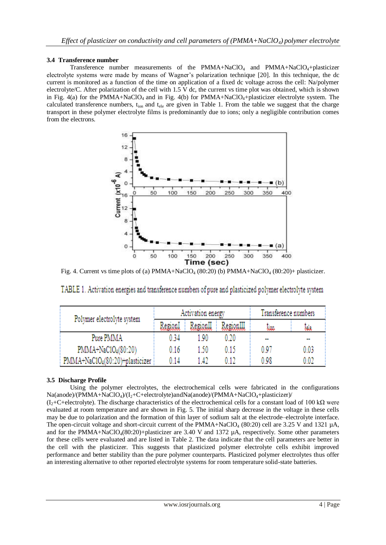# **3.4 Transference number**

Transference number measurements of the  $PMMA+NaClO<sub>4</sub>$  and  $PMMA+NaClO<sub>4</sub>+plasticizer$ electrolyte systems were made by means of Wagner's polarization technique [20]. In this technique, the dc current is monitored as a function of the time on application of a fixed dc voltage across the cell: Na/polymer electrolyte/C. After polarization of the cell with  $1.5 \text{ V}$  dc, the current vs time plot was obtained, which is shown in Fig.  $4(a)$  for the PMMA+NaClO<sub>4</sub> and in Fig.  $4(b)$  for PMMA+NaClO<sub>4</sub>+plasticizer electrolyte system. The calculated transference numbers,  $t_{\text{ion}}$  and  $t_{\text{ele}}$  are given in Table 1. From the table we suggest that the charge transport in these polymer electrolyte films is predominantly due to ions; only a negligible contribution comes from the electrons.



Fig. 4. Current vs time plots of (a)  $PMMA+NaClO<sub>4</sub> (80:20)$  (b)  $PMMA+NaClO<sub>4</sub> (80:20)+ plasticizer.$ 

| Polymer electrolyte system     | Activation energy |          |           | Transference numbers     |      |
|--------------------------------|-------------------|----------|-----------|--------------------------|------|
|                                | RegionI           | RegionII | RegionIII | مهنا                     | Jala |
| Pure PMMA                      | 0 34              | 190      | 0.20      | $\overline{\phantom{a}}$ |      |
| $PMMA+NaClO4(80:20)$           | 0.16              | 1.50     | 0.15      | 0.97                     | 0.03 |
| PMMA+NaC1O4(80:20)+plasticizer | 0 14              | l 47     | 0.12      | 0.98                     | 0.02 |

TABLE 1. Activation energies and transference numbers of pure and plasticized polymer electrolyte system

# **3.5 Discharge Profile**

Using the polymer electrolytes, the electrochemical cells were fabricated in the configurations  $Na(anode)/(PMMA+NaClO<sub>4</sub>)/(I<sub>2</sub>+C+electrolyte) and Na(anode)/(PMMA+NaClO<sub>4</sub>+plasticizer)/$ 

 $(I_2+C_1+e)$ . The discharge characteristics of the electrochemical cells for a constant load of 100 k $\Omega$  were evaluated at room temperature and are shown in Fig. 5. The initial sharp decrease in the voltage in these cells may be due to polarization and the formation of thin layer of sodium salt at the electrode–electrolyte interface. The open-circuit voltage and short-circuit current of the PMMA+NaClO<sub>4</sub> (80:20) cell are 3.25 V and 1321  $\mu$ A, and for the PMMA+NaClO<sub>4</sub>(80:20)+plasticizer are 3.40 V and 1372  $\mu$ A, respectively. Some other parameters for these cells were evaluated and are listed in Table 2. The data indicate that the cell parameters are better in the cell with the plasticizer. This suggests that plasticized polymer electrolyte cells exhibit improved performance and better stability than the pure polymer counterparts. Plasticized polymer electrolytes thus offer an interesting alternative to other reported electrolyte systems for room temperature solid-state batteries.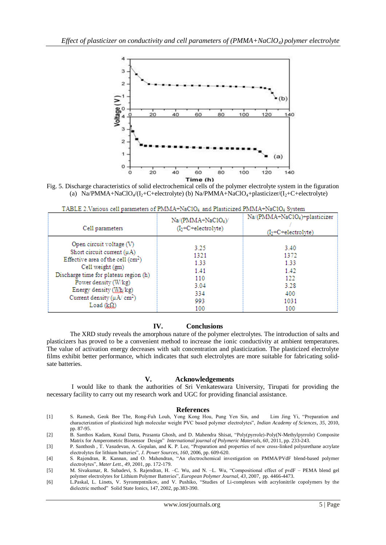

Fig. 5. Discharge characteristics of solid electrochemical cells of the polymer electrolyte system in the figuration (a)  $Na/PMMA+NaClO_4/(I_2+C+electrolyte)$  (b)  $Na/PMMA+NaClO_4+plasticizer/(I_2+C+electrolyte)$ 

| Cell parameters                              | Na/(PMMA+NaC1O <sub>4</sub> )/<br>$(I2+C+electrolyte)$ | Na/(PMMA+NaC1O <sub>4</sub> )+plasticizer<br>$(I2+C+electrolyte)$ |
|----------------------------------------------|--------------------------------------------------------|-------------------------------------------------------------------|
| Open circuit voltage (V)                     | 3.25                                                   | 3.40                                                              |
| Short circuit current (µA)                   | 1321                                                   | 1372                                                              |
| Effective area of the cell $(cm2)$           | 1.33                                                   | 1.33                                                              |
| Cell weight (gm)                             | 1.41                                                   | 1.42                                                              |
| Discharge time for plateau region (h)        | 110                                                    | 122                                                               |
| Power density (W/kg)                         | 3.04                                                   | 3.28                                                              |
| Energy density (Wh/kg)                       | 334                                                    | 400                                                               |
| Current density ( $\mu$ A/ cm <sup>2</sup> ) | 993                                                    | 1031                                                              |
| Load $(k\Omega)$                             | 100                                                    | 100                                                               |

# **IV. Conclusions**

The XRD study reveals the amorphous nature of the polymer electrolytes. The introduction of salts and plasticizers has proved to be a convenient method to increase the ionic conductivity at ambient temperatures. The value of activation energy decreases with salt concentration and plasticization. The plasticized electrolyte films exhibit better performance, which indicates that such electrolytes are more suitable for fabricating solidsate batteries.

#### **V. Acknowledgements**

I would like to thank the authorities of Sri Venkateswara University, Tirupati for providing the necessary facility to carry out my research work and UGC for providing financial assistance.

#### **References**

- [1] S. Ramesh, Geok Bee The, Rong-Fuh Louh, Yong Kong Hou, Pung Yen Sin, and Lim Jing Yi, "Preparation and characterization of plasticized high molecular weight PVC based polymer electrolytes", *Indian Academy of Sciences, 35*, 2010, pp. 87-95.
- [2] B. Santhos Kadam, Kunal Datta, Prasanta Ghosh, and D. Mahendra Shisat, "Poly(pyrrole)-Poly(N-Methylpyrrole) Composite Matrix for Amperometric Biosensor Design" *International journal of Polymeric Materials, 60*, 2011, pp. 233-243.
- [3] P. Santhosh , T. Vasudevan, A. Gopalan, and K. P. Lee, "Preparation and properties of new cross-linked polyurethane acrylate electrolytes for lithium batteries", *J. Power Sources, 160*, 2006, pp. 609-620.
- [4] S. Rajendran, R. Kannan, and O. Mahendran, "An electrochemical investigation on PMMA/PVdF blend-based polymer electrolytes", *Mater Lett., 49*, 2001, pp. 172-179.
- [5] M. Sivakumar, R. Subadevi, S. Rajendran, H. –C. Wu, and N. –L. Wu, "Compositional effect of pvdF PEMA blend gel polymer electrolytes for Lithium Polymer Batteries", *European Polymer Journal, 43*, 2007, pp. 4466-4473.
- [6] L.Paskal, L. Linets, V. Syromrpntnikov, and V. Pushiko, "Studies of Li-complexes with acrylonitrile copolymers by the dielectric method" Solid State Ionics, 147, 2002, pp.383-390.